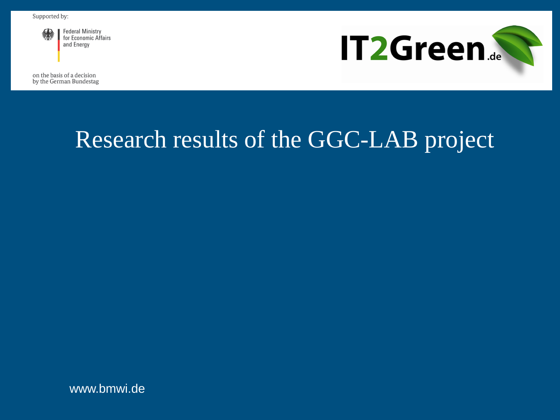

**Federal Ministry** for Economic Affairs and Energy

on the basis of a decision

by the German Bundestag



# Research results of the GGC-LAB project

www.bmwi.de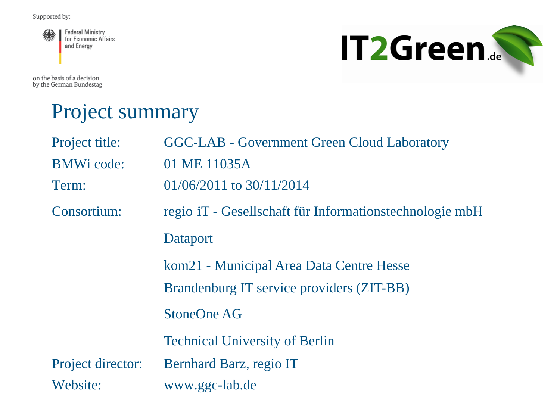

**IT2Green...** 

on the basis of a decision by the German Bundestag

#### Project summary

| Project title:    | <b>GGC-LAB - Government Green Cloud Laboratory</b>      |
|-------------------|---------------------------------------------------------|
| <b>BMWi</b> code: | 01 ME 11035A                                            |
| Term:             | $01/06/2011$ to $30/11/2014$                            |
| Consortium:       | regio iT - Gesellschaft für Informationstechnologie mbH |
|                   | <b>Dataport</b>                                         |
|                   | kom21 - Municipal Area Data Centre Hesse                |
|                   | Brandenburg IT service providers (ZIT-BB)               |
|                   | <b>StoneOne AG</b>                                      |
|                   | <b>Technical University of Berlin</b>                   |
| Project director: | Bernhard Barz, regio IT                                 |
| Website:          | www.ggc-lab.de                                          |
|                   |                                                         |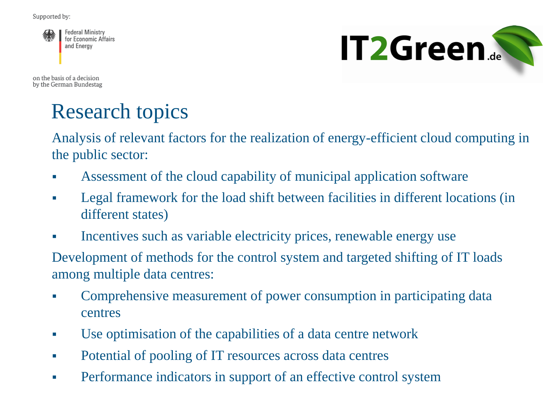

**IT2Green.** 

on the basis of a decision by the German Bundestag

## Research topics

Analysis of relevant factors for the realization of energy-efficient cloud computing in the public sector:

- Assessment of the cloud capability of municipal application software
- Legal framework for the load shift between facilities in different locations (in different states)
- Incentives such as variable electricity prices, renewable energy use

Development of methods for the control system and targeted shifting of IT loads among multiple data centres:

- Comprehensive measurement of power consumption in participating data centres
- Use optimisation of the capabilities of a data centre network
- Potential of pooling of IT resources across data centres
- Performance indicators in support of an effective control system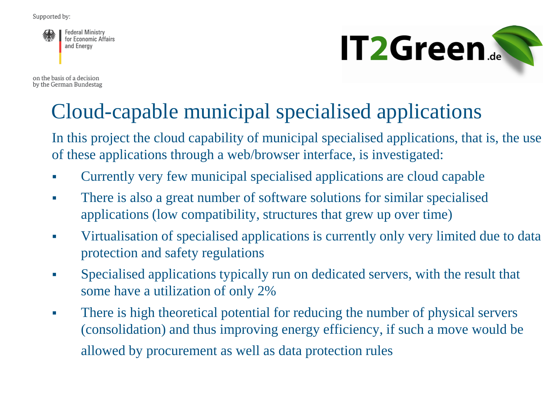**Federal Ministry** for Economic Affairs and Energy

on the basis of a decision by the German Bundestag



## Cloud-capable municipal specialised applications

In this project the cloud capability of municipal specialised applications, that is, the use of these applications through a web/browser interface, is investigated:

- Currently very few municipal specialised applications are cloud capable
- There is also a great number of software solutions for similar specialised applications (low compatibility, structures that grew up over time)
- Virtualisation of specialised applications is currently only very limited due to data protection and safety regulations
- Specialised applications typically run on dedicated servers, with the result that some have a utilization of only 2%
- There is high theoretical potential for reducing the number of physical servers (consolidation) and thus improving energy efficiency, if such a move would be allowed by procurement as well as data protection rules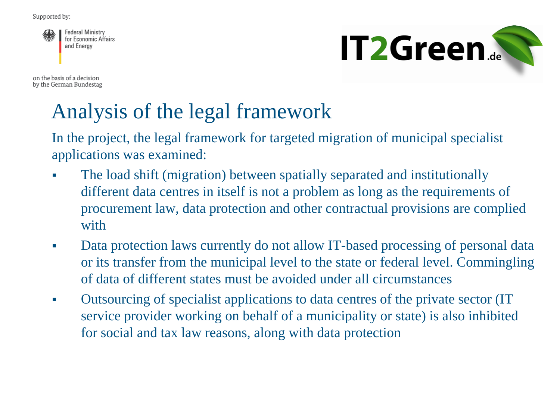**Federal Ministry** for Economic Affairs and Energy

on the basis of a decision by the German Bundestag



## Analysis of the legal framework

In the project, the legal framework for targeted migration of municipal specialist applications was examined:

- The load shift (migration) between spatially separated and institutionally different data centres in itself is not a problem as long as the requirements of procurement law, data protection and other contractual provisions are complied with
- Data protection laws currently do not allow IT-based processing of personal data or its transfer from the municipal level to the state or federal level. Commingling of data of different states must be avoided under all circumstances
- Outsourcing of specialist applications to data centres of the private sector (IT service provider working on behalf of a municipality or state) is also inhibited for social and tax law reasons, along with data protection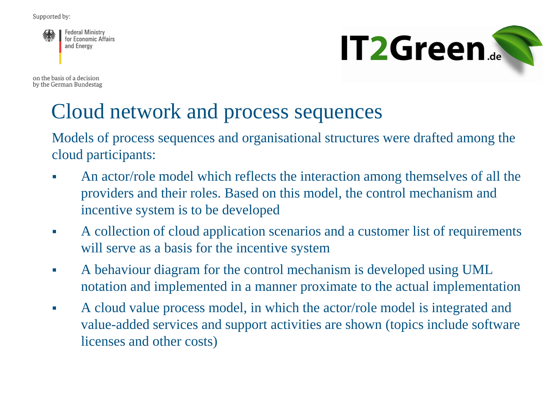**Federal Ministry** for Economic Affairs and Energy

**IT2Green...** 

on the basis of a decision by the German Bundestag

## Cloud network and process sequences

Models of process sequences and organisational structures were drafted among the cloud participants:

- An actor/role model which reflects the interaction among themselves of all the providers and their roles. Based on this model, the control mechanism and incentive system is to be developed
- A collection of cloud application scenarios and a customer list of requirements will serve as a basis for the incentive system
- A behaviour diagram for the control mechanism is developed using UML notation and implemented in a manner proximate to the actual implementation
- A cloud value process model, in which the actor/role model is integrated and value-added services and support activities are shown (topics include software licenses and other costs)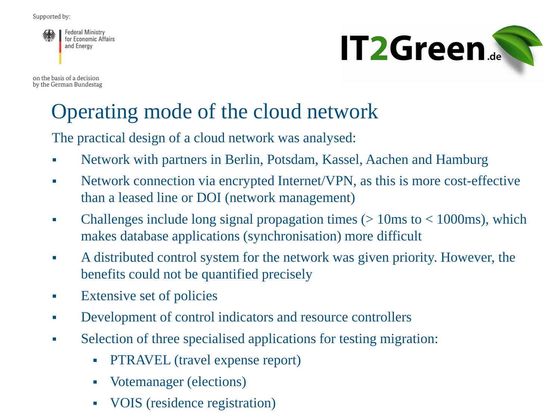**Federal Ministry** for Economic Affairs and Energy

on the basis of a decision by the German Bundestag



### Operating mode of the cloud network

The practical design of a cloud network was analysed:

- Network with partners in Berlin, Potsdam, Kassel, Aachen and Hamburg
- Network connection via encrypted Internet/VPN, as this is more cost-effective than a leased line or DOI (network management)
- Challenges include long signal propagation times  $(> 10\text{ms to} < 1000\text{ms})$ , which makes database applications (synchronisation) more difficult
- A distributed control system for the network was given priority. However, the benefits could not be quantified precisely
- **Extensive set of policies**
- Development of control indicators and resource controllers
- Selection of three specialised applications for testing migration:
	- PTRAVEL (travel expense report)
	- Votemanager (elections)
	- VOIS (residence registration)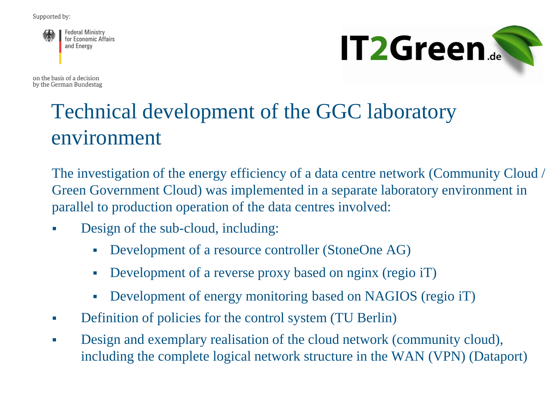**Federal Ministry** for Economic Affairs and Energy



on the basis of a decision by the German Bundestag

## Technical development of the GGC laboratory environment

The investigation of the energy efficiency of a data centre network (Community Cloud / Green Government Cloud) was implemented in a separate laboratory environment in parallel to production operation of the data centres involved:

- Design of the sub-cloud, including:
	- Development of a resource controller (StoneOne AG)
	- Development of a reverse proxy based on nginx (regio iT)
	- Development of energy monitoring based on NAGIOS (regio iT)
- Definition of policies for the control system (TU Berlin)
- Design and exemplary realisation of the cloud network (community cloud), including the complete logical network structure in the WAN (VPN) (Dataport)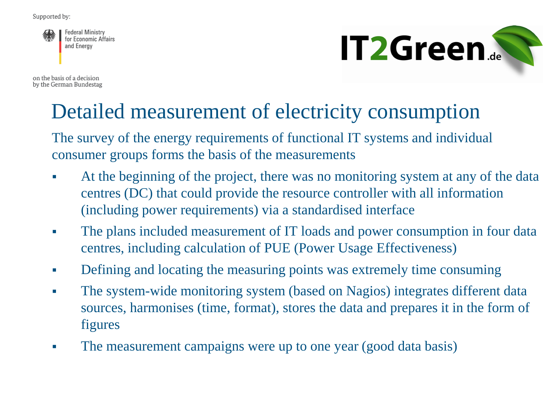**Federal Ministry** for Economic Affairs and Energy

on the basis of a decision by the German Bundestag



### Detailed measurement of electricity consumption

The survey of the energy requirements of functional IT systems and individual consumer groups forms the basis of the measurements

- At the beginning of the project, there was no monitoring system at any of the data centres (DC) that could provide the resource controller with all information (including power requirements) via a standardised interface
- The plans included measurement of IT loads and power consumption in four data centres, including calculation of PUE (Power Usage Effectiveness)
- Defining and locating the measuring points was extremely time consuming
- The system-wide monitoring system (based on Nagios) integrates different data sources, harmonises (time, format), stores the data and prepares it in the form of figures
- The measurement campaigns were up to one year (good data basis)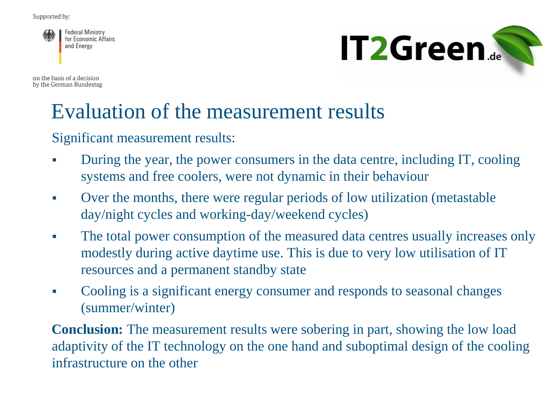**Federal Ministry** for Economic Affairs and Energy

on the basis of a decision by the German Bundestag



#### Evaluation of the measurement results

Significant measurement results:

- During the year, the power consumers in the data centre, including IT, cooling systems and free coolers, were not dynamic in their behaviour
- Over the months, there were regular periods of low utilization (metastable day/night cycles and working-day/weekend cycles)
- The total power consumption of the measured data centres usually increases only modestly during active daytime use. This is due to very low utilisation of IT resources and a permanent standby state
- Cooling is a significant energy consumer and responds to seasonal changes (summer/winter)

**Conclusion:** The measurement results were sobering in part, showing the low load adaptivity of the IT technology on the one hand and suboptimal design of the cooling infrastructure on the other